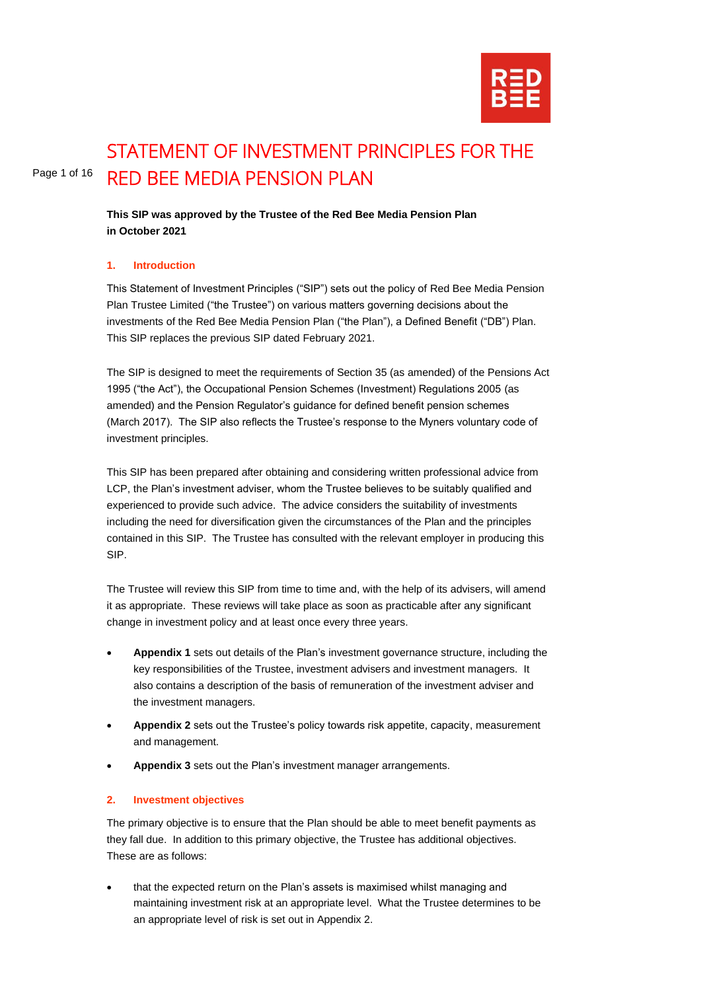

# Page 1 of 16 STATEMENT OF INVESTMENT PRINCIPLES FOR THE RED BEE MEDIA PENSION PLAN

**This SIP was approved by the Trustee of the Red Bee Media Pension Plan in October 2021**

# **1. Introduction**

This Statement of Investment Principles ("SIP") sets out the policy of Red Bee Media Pension Plan Trustee Limited ("the Trustee") on various matters governing decisions about the investments of the Red Bee Media Pension Plan ("the Plan"), a Defined Benefit ("DB") Plan. This SIP replaces the previous SIP dated February 2021.

The SIP is designed to meet the requirements of Section 35 (as amended) of the Pensions Act 1995 ("the Act"), the Occupational Pension Schemes (Investment) Regulations 2005 (as amended) and the Pension Regulator's guidance for defined benefit pension schemes (March 2017). The SIP also reflects the Trustee's response to the Myners voluntary code of investment principles.

This SIP has been prepared after obtaining and considering written professional advice from LCP, the Plan's investment adviser, whom the Trustee believes to be suitably qualified and experienced to provide such advice. The advice considers the suitability of investments including the need for diversification given the circumstances of the Plan and the principles contained in this SIP. The Trustee has consulted with the relevant employer in producing this SIP.

The Trustee will review this SIP from time to time and, with the help of its advisers, will amend it as appropriate. These reviews will take place as soon as practicable after any significant change in investment policy and at least once every three years.

- **Appendix 1** sets out details of the Plan's investment governance structure, including the key responsibilities of the Trustee, investment advisers and investment managers. It also contains a description of the basis of remuneration of the investment adviser and the investment managers.
- **Appendix 2** sets out the Trustee's policy towards risk appetite, capacity, measurement and management.
- **Appendix 3** sets out the Plan's investment manager arrangements.

#### **2. Investment objectives**

The primary objective is to ensure that the Plan should be able to meet benefit payments as they fall due. In addition to this primary objective, the Trustee has additional objectives. These are as follows:

• that the expected return on the Plan's assets is maximised whilst managing and maintaining investment risk at an appropriate level. What the Trustee determines to be an appropriate level of risk is set out in Appendix 2.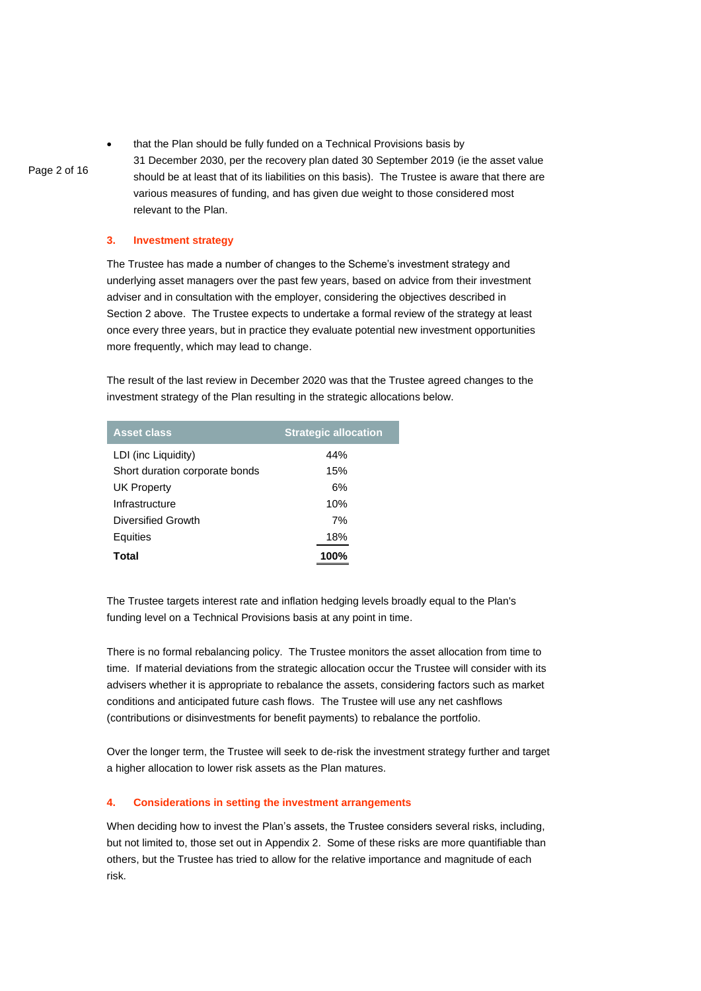• that the Plan should be fully funded on a Technical Provisions basis by 31 December 2030, per the recovery plan dated 30 September 2019 (ie the asset value should be at least that of its liabilities on this basis). The Trustee is aware that there are various measures of funding, and has given due weight to those considered most relevant to the Plan.

#### **3. Investment strategy**

Page 2 of 16

The Trustee has made a number of changes to the Scheme's investment strategy and underlying asset managers over the past few years, based on advice from their investment adviser and in consultation with the employer, considering the objectives described in Section 2 above. The Trustee expects to undertake a formal review of the strategy at least once every three years, but in practice they evaluate potential new investment opportunities more frequently, which may lead to change.

The result of the last review in December 2020 was that the Trustee agreed changes to the investment strategy of the Plan resulting in the strategic allocations below.

| <b>Asset class</b>             | <b>Strategic allocation</b> |
|--------------------------------|-----------------------------|
| LDI (inc Liquidity)            | 44%                         |
| Short duration corporate bonds | 15%                         |
| UK Property                    | 6%                          |
| Infrastructure                 | 10%                         |
| Diversified Growth             | 7%                          |
| Equities                       | 18%                         |
| Total                          | 100%                        |
|                                |                             |

The Trustee targets interest rate and inflation hedging levels broadly equal to the Plan's funding level on a Technical Provisions basis at any point in time.

There is no formal rebalancing policy. The Trustee monitors the asset allocation from time to time. If material deviations from the strategic allocation occur the Trustee will consider with its advisers whether it is appropriate to rebalance the assets, considering factors such as market conditions and anticipated future cash flows. The Trustee will use any net cashflows (contributions or disinvestments for benefit payments) to rebalance the portfolio.

Over the longer term, the Trustee will seek to de-risk the investment strategy further and target a higher allocation to lower risk assets as the Plan matures.

#### **4. Considerations in setting the investment arrangements**

When deciding how to invest the Plan's assets, the Trustee considers several risks, including, but not limited to, those set out in Appendix 2. Some of these risks are more quantifiable than others, but the Trustee has tried to allow for the relative importance and magnitude of each risk.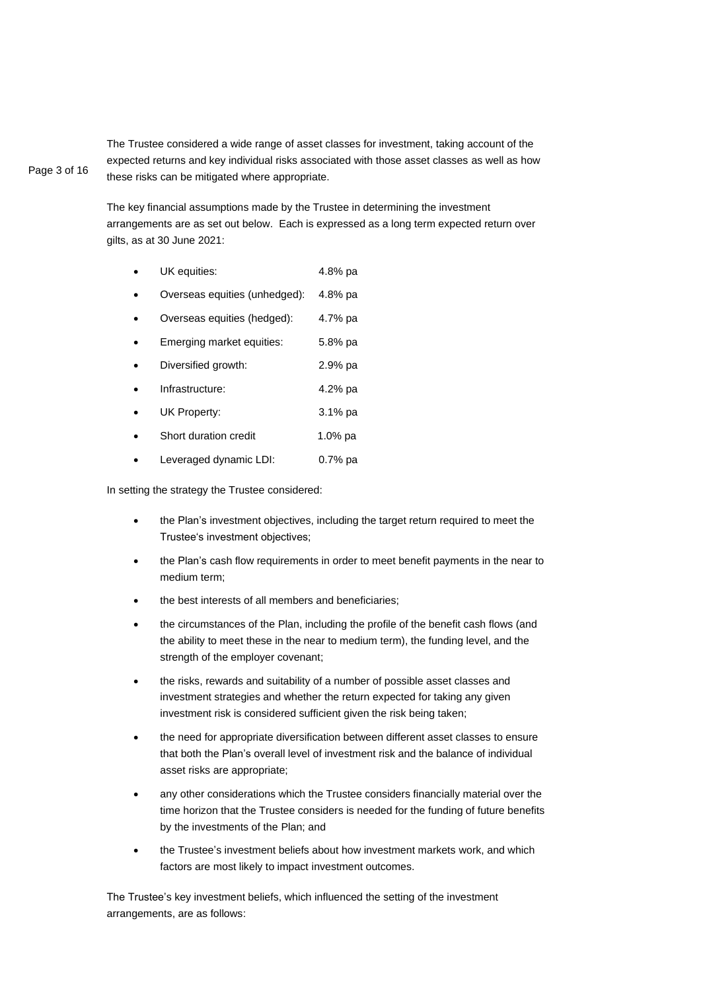Page 3 of 16 The Trustee considered a wide range of asset classes for investment, taking account of the expected returns and key individual risks associated with those asset classes as well as how these risks can be mitigated where appropriate.

> The key financial assumptions made by the Trustee in determining the investment arrangements are as set out below. Each is expressed as a long term expected return over gilts, as at 30 June 2021:

- UK equities: 4.8% pa
- Overseas equities (unhedged): 4.8% pa
- Overseas equities (hedged): 4.7% pa
- Emerging market equities: 5.8% pa
- Diversified growth: 2.9% pa
- Infrastructure: 4.2% pa
- UK Property: 3.1% pa
- Short duration credit 1.0% pa
- Leveraged dynamic LDI: 0.7% pa

In setting the strategy the Trustee considered:

- the Plan's investment objectives, including the target return required to meet the Trustee's investment objectives;
- the Plan's cash flow requirements in order to meet benefit payments in the near to medium term;
- the best interests of all members and beneficiaries;
- the circumstances of the Plan, including the profile of the benefit cash flows (and the ability to meet these in the near to medium term), the funding level, and the strength of the employer covenant;
- the risks, rewards and suitability of a number of possible asset classes and investment strategies and whether the return expected for taking any given investment risk is considered sufficient given the risk being taken;
- the need for appropriate diversification between different asset classes to ensure that both the Plan's overall level of investment risk and the balance of individual asset risks are appropriate;
- any other considerations which the Trustee considers financially material over the time horizon that the Trustee considers is needed for the funding of future benefits by the investments of the Plan; and
- the Trustee's investment beliefs about how investment markets work, and which factors are most likely to impact investment outcomes.

The Trustee's key investment beliefs, which influenced the setting of the investment arrangements, are as follows: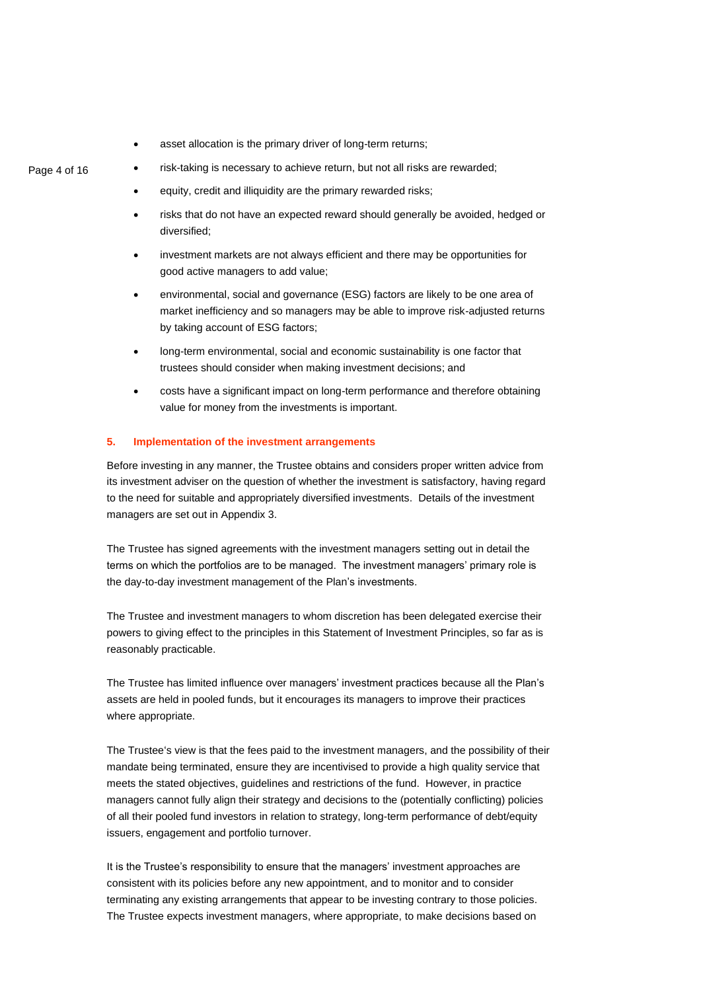asset allocation is the primary driver of long-term returns;

# risk-taking is necessary to achieve return, but not all risks are rewarded;

- equity, credit and illiquidity are the primary rewarded risks;
- risks that do not have an expected reward should generally be avoided, hedged or diversified;
- investment markets are not always efficient and there may be opportunities for good active managers to add value;
- environmental, social and governance (ESG) factors are likely to be one area of market inefficiency and so managers may be able to improve risk-adjusted returns by taking account of ESG factors;
- long-term environmental, social and economic sustainability is one factor that trustees should consider when making investment decisions; and
- costs have a significant impact on long-term performance and therefore obtaining value for money from the investments is important.

# **5. Implementation of the investment arrangements**

Before investing in any manner, the Trustee obtains and considers proper written advice from its investment adviser on the question of whether the investment is satisfactory, having regard to the need for suitable and appropriately diversified investments. Details of the investment managers are set out in Appendix 3.

The Trustee has signed agreements with the investment managers setting out in detail the terms on which the portfolios are to be managed. The investment managers' primary role is the day-to-day investment management of the Plan's investments.

The Trustee and investment managers to whom discretion has been delegated exercise their powers to giving effect to the principles in this Statement of Investment Principles, so far as is reasonably practicable.

The Trustee has limited influence over managers' investment practices because all the Plan's assets are held in pooled funds, but it encourages its managers to improve their practices where appropriate.

The Trustee's view is that the fees paid to the investment managers, and the possibility of their mandate being terminated, ensure they are incentivised to provide a high quality service that meets the stated objectives, guidelines and restrictions of the fund. However, in practice managers cannot fully align their strategy and decisions to the (potentially conflicting) policies of all their pooled fund investors in relation to strategy, long-term performance of debt/equity issuers, engagement and portfolio turnover.

It is the Trustee's responsibility to ensure that the managers' investment approaches are consistent with its policies before any new appointment, and to monitor and to consider terminating any existing arrangements that appear to be investing contrary to those policies. The Trustee expects investment managers, where appropriate, to make decisions based on

# Page 4 of 16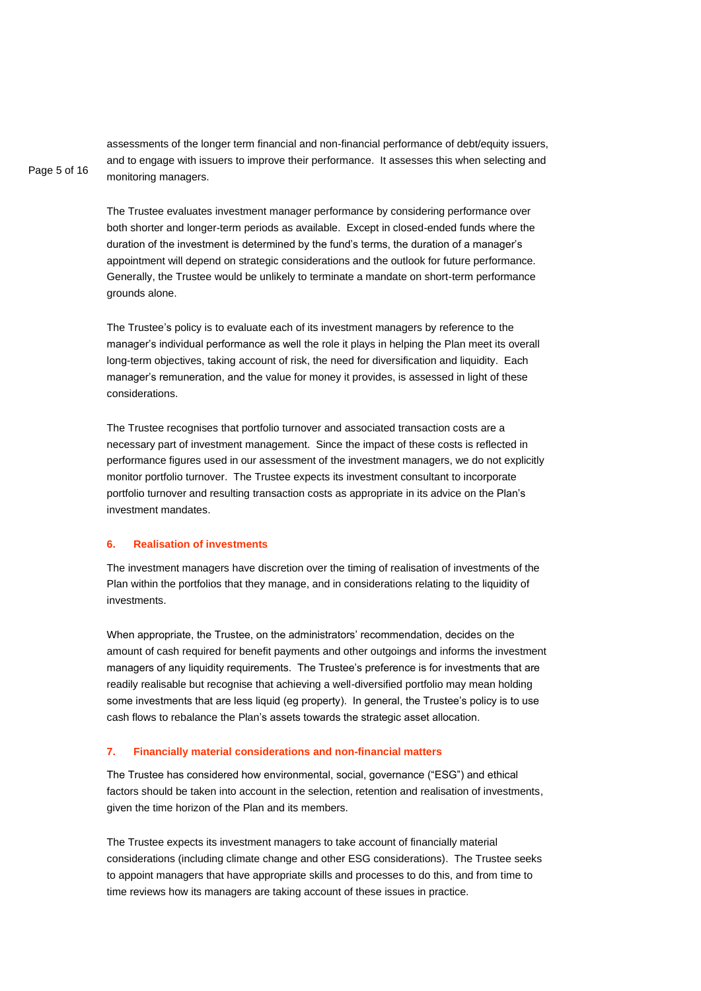assessments of the longer term financial and non-financial performance of debt/equity issuers, and to engage with issuers to improve their performance. It assesses this when selecting and monitoring managers.

The Trustee evaluates investment manager performance by considering performance over both shorter and longer-term periods as available. Except in closed-ended funds where the duration of the investment is determined by the fund's terms, the duration of a manager's appointment will depend on strategic considerations and the outlook for future performance. Generally, the Trustee would be unlikely to terminate a mandate on short-term performance grounds alone.

The Trustee's policy is to evaluate each of its investment managers by reference to the manager's individual performance as well the role it plays in helping the Plan meet its overall long-term objectives, taking account of risk, the need for diversification and liquidity. Each manager's remuneration, and the value for money it provides, is assessed in light of these considerations.

The Trustee recognises that portfolio turnover and associated transaction costs are a necessary part of investment management. Since the impact of these costs is reflected in performance figures used in our assessment of the investment managers, we do not explicitly monitor portfolio turnover. The Trustee expects its investment consultant to incorporate portfolio turnover and resulting transaction costs as appropriate in its advice on the Plan's investment mandates.

#### **6. Realisation of investments**

Page 5 of 16

The investment managers have discretion over the timing of realisation of investments of the Plan within the portfolios that they manage, and in considerations relating to the liquidity of investments.

When appropriate, the Trustee, on the administrators' recommendation, decides on the amount of cash required for benefit payments and other outgoings and informs the investment managers of any liquidity requirements. The Trustee's preference is for investments that are readily realisable but recognise that achieving a well-diversified portfolio may mean holding some investments that are less liquid (eg property). In general, the Trustee's policy is to use cash flows to rebalance the Plan's assets towards the strategic asset allocation.

#### **7. Financially material considerations and non-financial matters**

The Trustee has considered how environmental, social, governance ("ESG") and ethical factors should be taken into account in the selection, retention and realisation of investments, given the time horizon of the Plan and its members.

The Trustee expects its investment managers to take account of financially material considerations (including climate change and other ESG considerations). The Trustee seeks to appoint managers that have appropriate skills and processes to do this, and from time to time reviews how its managers are taking account of these issues in practice.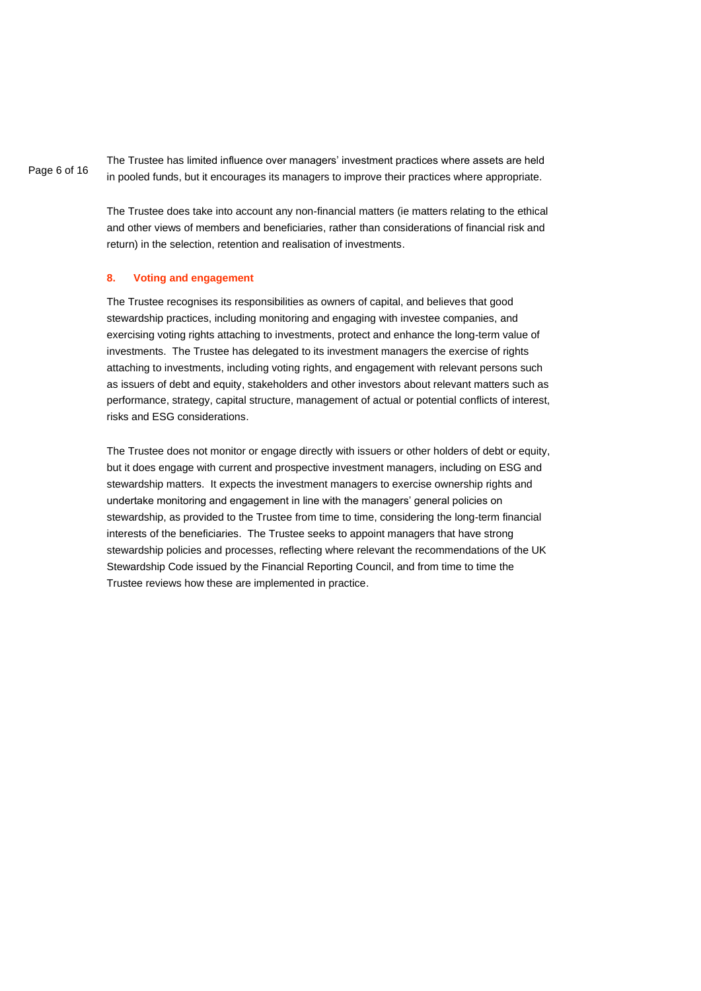Page 6 of 16 The Trustee has limited influence over managers' investment practices where assets are held in pooled funds, but it encourages its managers to improve their practices where appropriate.

> The Trustee does take into account any non-financial matters (ie matters relating to the ethical and other views of members and beneficiaries, rather than considerations of financial risk and return) in the selection, retention and realisation of investments.

### **8. Voting and engagement**

The Trustee recognises its responsibilities as owners of capital, and believes that good stewardship practices, including monitoring and engaging with investee companies, and exercising voting rights attaching to investments, protect and enhance the long-term value of investments. The Trustee has delegated to its investment managers the exercise of rights attaching to investments, including voting rights, and engagement with relevant persons such as issuers of debt and equity, stakeholders and other investors about relevant matters such as performance, strategy, capital structure, management of actual or potential conflicts of interest, risks and ESG considerations.

The Trustee does not monitor or engage directly with issuers or other holders of debt or equity, but it does engage with current and prospective investment managers, including on ESG and stewardship matters. It expects the investment managers to exercise ownership rights and undertake monitoring and engagement in line with the managers' general policies on stewardship, as provided to the Trustee from time to time, considering the long-term financial interests of the beneficiaries. The Trustee seeks to appoint managers that have strong stewardship policies and processes, reflecting where relevant the recommendations of the UK Stewardship Code issued by the Financial Reporting Council, and from time to time the Trustee reviews how these are implemented in practice.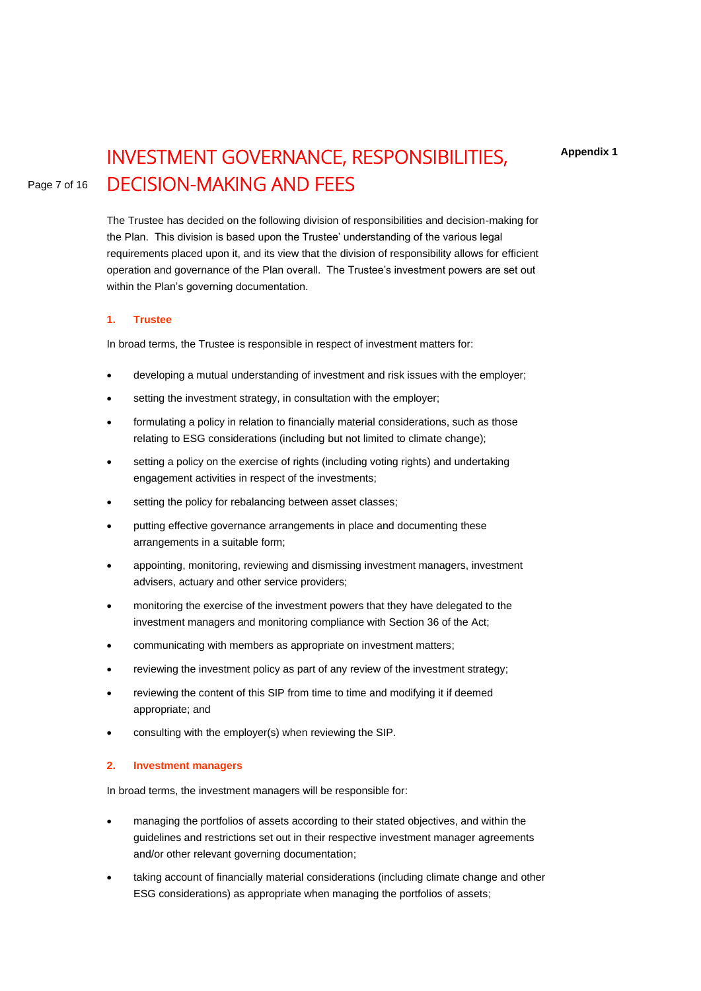# INVESTMENT GOVERNANCE, RESPONSIBILITIES, DECISION-MAKING AND FEES

The Trustee has decided on the following division of responsibilities and decision-making for the Plan. This division is based upon the Trustee' understanding of the various legal requirements placed upon it, and its view that the division of responsibility allows for efficient operation and governance of the Plan overall. The Trustee's investment powers are set out within the Plan's governing documentation.

#### **1. Trustee**

In broad terms, the Trustee is responsible in respect of investment matters for:

- developing a mutual understanding of investment and risk issues with the employer;
- setting the investment strategy, in consultation with the employer;
- formulating a policy in relation to financially material considerations, such as those relating to ESG considerations (including but not limited to climate change);
- setting a policy on the exercise of rights (including voting rights) and undertaking engagement activities in respect of the investments;
- setting the policy for rebalancing between asset classes;
- putting effective governance arrangements in place and documenting these arrangements in a suitable form;
- appointing, monitoring, reviewing and dismissing investment managers, investment advisers, actuary and other service providers;
- monitoring the exercise of the investment powers that they have delegated to the investment managers and monitoring compliance with Section 36 of the Act;
- communicating with members as appropriate on investment matters;
- reviewing the investment policy as part of any review of the investment strategy;
- reviewing the content of this SIP from time to time and modifying it if deemed appropriate; and
- consulting with the employer(s) when reviewing the SIP.

#### **2. Investment managers**

In broad terms, the investment managers will be responsible for:

- managing the portfolios of assets according to their stated objectives, and within the guidelines and restrictions set out in their respective investment manager agreements and/or other relevant governing documentation;
- taking account of financially material considerations (including climate change and other ESG considerations) as appropriate when managing the portfolios of assets;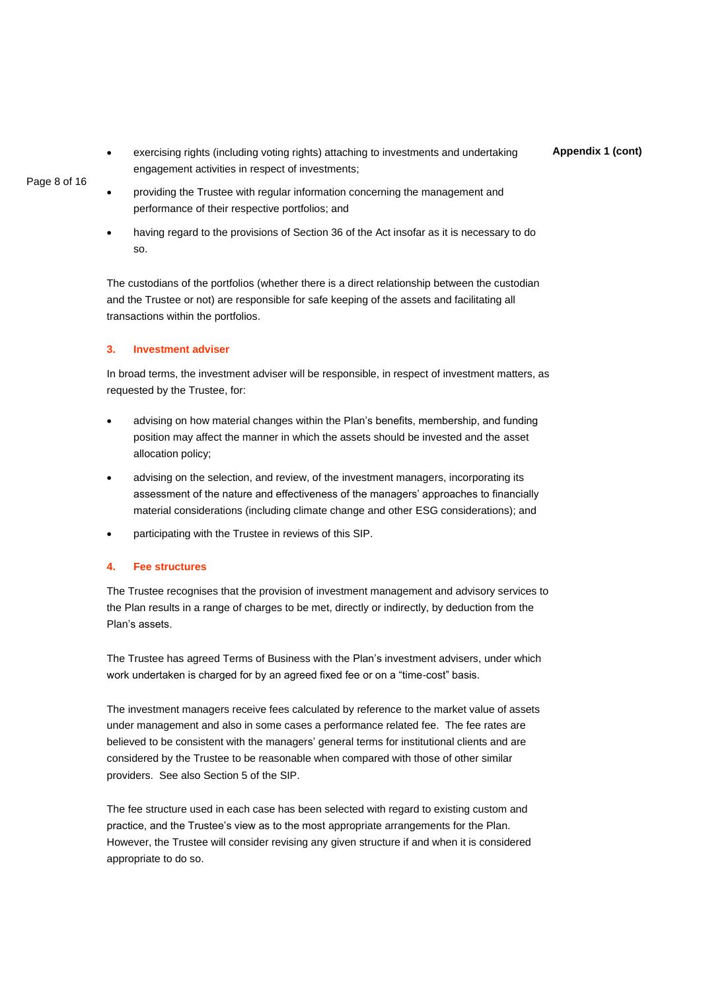**Appendix 1 (cont)** • exercising rights (including voting rights) attaching to investments and undertaking engagement activities in respect of investments;

Page 8 of 16

- providing the Trustee with regular information concerning the management and performance of their respective portfolios; and
- having regard to the provisions of Section 36 of the Act insofar as it is necessary to do so.

The custodians of the portfolios (whether there is a direct relationship between the custodian and the Trustee or not) are responsible for safe keeping of the assets and facilitating all transactions within the portfolios.

### **3. Investment adviser**

In broad terms, the investment adviser will be responsible, in respect of investment matters, as requested by the Trustee, for:

- advising on how material changes within the Plan's benefits, membership, and funding position may affect the manner in which the assets should be invested and the asset allocation policy;
- advising on the selection, and review, of the investment managers, incorporating its assessment of the nature and effectiveness of the managers' approaches to financially material considerations (including climate change and other ESG considerations); and
- participating with the Trustee in reviews of this SIP.

# **4. Fee structures**

The Trustee recognises that the provision of investment management and advisory services to the Plan results in a range of charges to be met, directly or indirectly, by deduction from the Plan's assets.

The Trustee has agreed Terms of Business with the Plan's investment advisers, under which work undertaken is charged for by an agreed fixed fee or on a "time-cost" basis.

The investment managers receive fees calculated by reference to the market value of assets under management and also in some cases a performance related fee. The fee rates are believed to be consistent with the managers' general terms for institutional clients and are considered by the Trustee to be reasonable when compared with those of other similar providers. See also Section 5 of the SIP.

The fee structure used in each case has been selected with regard to existing custom and practice, and the Trustee's view as to the most appropriate arrangements for the Plan. However, the Trustee will consider revising any given structure if and when it is considered appropriate to do so.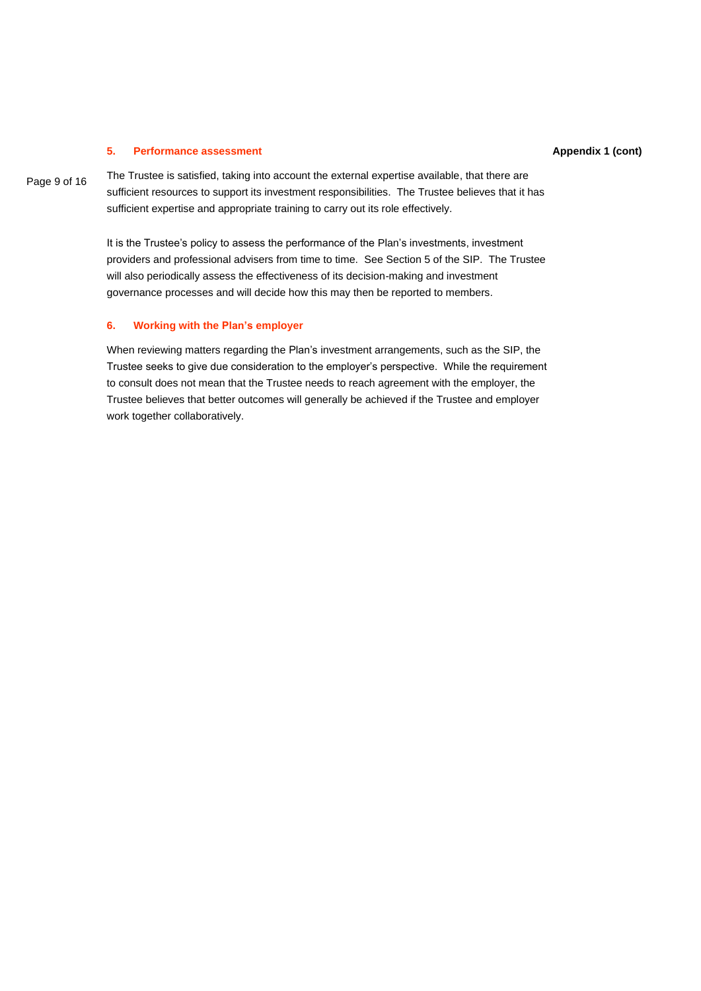#### **5. Performance assessment**

Page 9 of 16

The Trustee is satisfied, taking into account the external expertise available, that there are sufficient resources to support its investment responsibilities. The Trustee believes that it has sufficient expertise and appropriate training to carry out its role effectively.

It is the Trustee's policy to assess the performance of the Plan's investments, investment providers and professional advisers from time to time. See Section 5 of the SIP. The Trustee will also periodically assess the effectiveness of its decision-making and investment governance processes and will decide how this may then be reported to members.

#### **6. Working with the Plan's employer**

When reviewing matters regarding the Plan's investment arrangements, such as the SIP, the Trustee seeks to give due consideration to the employer's perspective. While the requirement to consult does not mean that the Trustee needs to reach agreement with the employer, the Trustee believes that better outcomes will generally be achieved if the Trustee and employer work together collaboratively.

#### **Appendix 1 (cont)**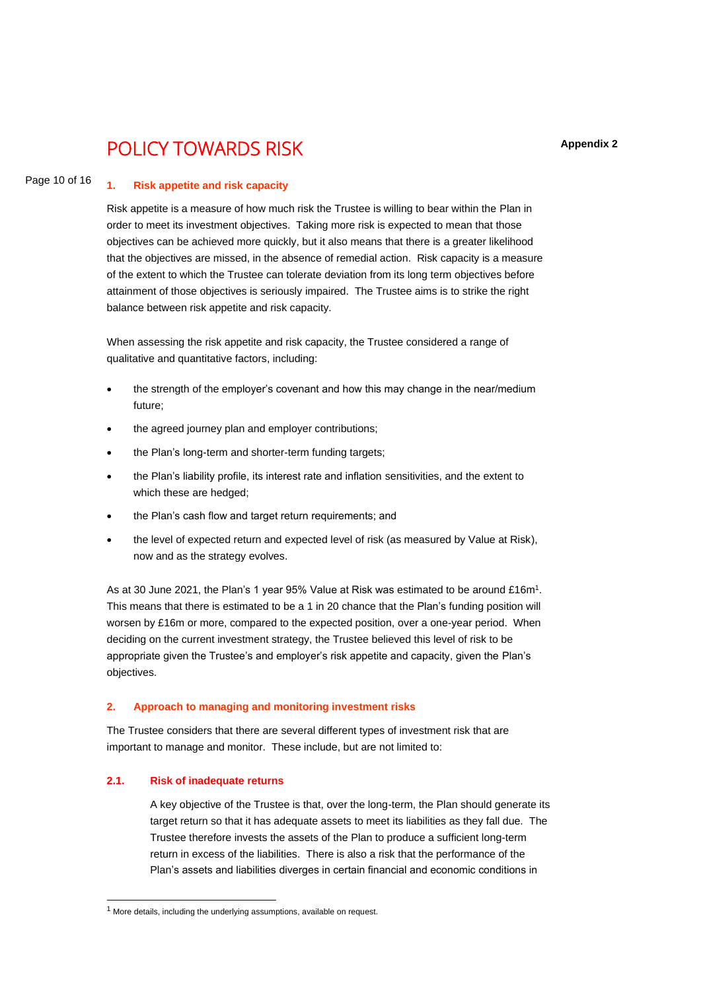# POLICY TOWARDS RISK

#### Page 10 of 16 **1. Risk appetite and risk capacity**

Risk appetite is a measure of how much risk the Trustee is willing to bear within the Plan in order to meet its investment objectives. Taking more risk is expected to mean that those objectives can be achieved more quickly, but it also means that there is a greater likelihood that the objectives are missed, in the absence of remedial action. Risk capacity is a measure of the extent to which the Trustee can tolerate deviation from its long term objectives before attainment of those objectives is seriously impaired. The Trustee aims is to strike the right balance between risk appetite and risk capacity.

When assessing the risk appetite and risk capacity, the Trustee considered a range of qualitative and quantitative factors, including:

- the strength of the employer's covenant and how this may change in the near/medium future;
- the agreed journey plan and employer contributions;
- the Plan's long-term and shorter-term funding targets;
- the Plan's liability profile, its interest rate and inflation sensitivities, and the extent to which these are hedged:
- the Plan's cash flow and target return requirements; and
- the level of expected return and expected level of risk (as measured by Value at Risk), now and as the strategy evolves.

As at 30 June 2021, the Plan's 1 year 95% Value at Risk was estimated to be around £16m<sup>1</sup>. This means that there is estimated to be a 1 in 20 chance that the Plan's funding position will worsen by £16m or more, compared to the expected position, over a one-year period. When deciding on the current investment strategy, the Trustee believed this level of risk to be appropriate given the Trustee's and employer's risk appetite and capacity, given the Plan's objectives.

#### **2. Approach to managing and monitoring investment risks**

The Trustee considers that there are several different types of investment risk that are important to manage and monitor. These include, but are not limited to:

#### **2.1. Risk of inadequate returns**

A key objective of the Trustee is that, over the long-term, the Plan should generate its target return so that it has adequate assets to meet its liabilities as they fall due. The Trustee therefore invests the assets of the Plan to produce a sufficient long-term return in excess of the liabilities. There is also a risk that the performance of the Plan's assets and liabilities diverges in certain financial and economic conditions in

 $1$  More details, including the underlying assumptions, available on request.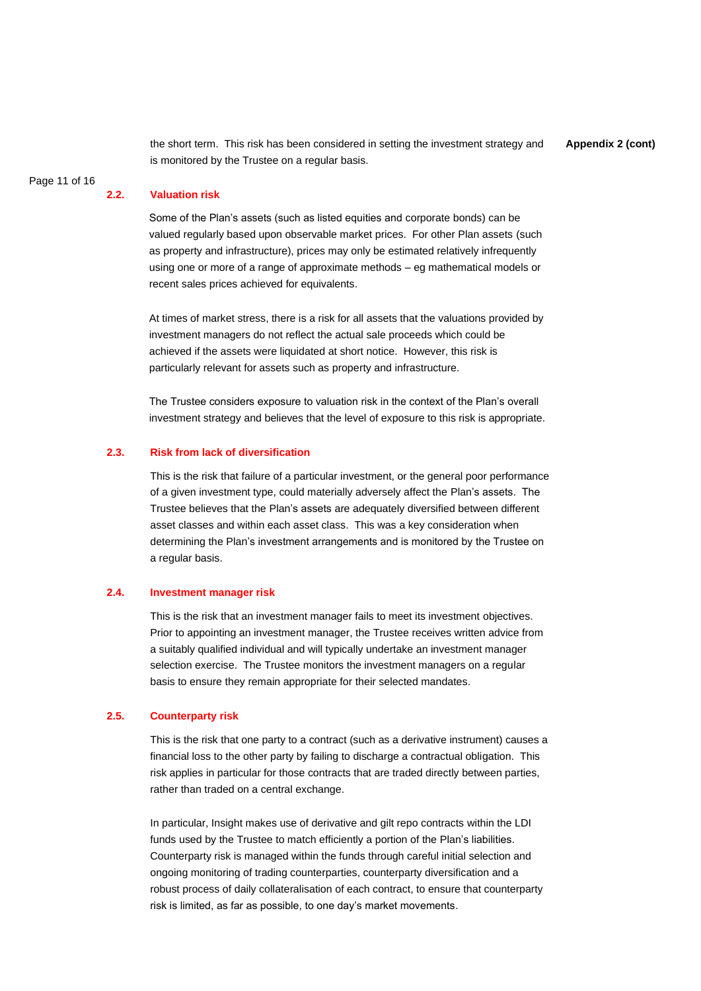the short term. This risk has been considered in setting the investment strategy and is monitored by the Trustee on a regular basis.

**Appendix 2 (cont)**

# Page 11 of 16

#### **2.2. Valuation risk**

Some of the Plan's assets (such as listed equities and corporate bonds) can be valued regularly based upon observable market prices. For other Plan assets (such as property and infrastructure), prices may only be estimated relatively infrequently using one or more of a range of approximate methods – eg mathematical models or recent sales prices achieved for equivalents.

At times of market stress, there is a risk for all assets that the valuations provided by investment managers do not reflect the actual sale proceeds which could be achieved if the assets were liquidated at short notice. However, this risk is particularly relevant for assets such as property and infrastructure.

The Trustee considers exposure to valuation risk in the context of the Plan's overall investment strategy and believes that the level of exposure to this risk is appropriate.

#### **2.3. Risk from lack of diversification**

This is the risk that failure of a particular investment, or the general poor performance of a given investment type, could materially adversely affect the Plan's assets. The Trustee believes that the Plan's assets are adequately diversified between different asset classes and within each asset class. This was a key consideration when determining the Plan's investment arrangements and is monitored by the Trustee on a regular basis.

#### **2.4. Investment manager risk**

This is the risk that an investment manager fails to meet its investment objectives. Prior to appointing an investment manager, the Trustee receives written advice from a suitably qualified individual and will typically undertake an investment manager selection exercise. The Trustee monitors the investment managers on a regular basis to ensure they remain appropriate for their selected mandates.

### **2.5. Counterparty risk**

This is the risk that one party to a contract (such as a derivative instrument) causes a financial loss to the other party by failing to discharge a contractual obligation. This risk applies in particular for those contracts that are traded directly between parties, rather than traded on a central exchange.

In particular, Insight makes use of derivative and gilt repo contracts within the LDI funds used by the Trustee to match efficiently a portion of the Plan's liabilities. Counterparty risk is managed within the funds through careful initial selection and ongoing monitoring of trading counterparties, counterparty diversification and a robust process of daily collateralisation of each contract, to ensure that counterparty risk is limited, as far as possible, to one day's market movements.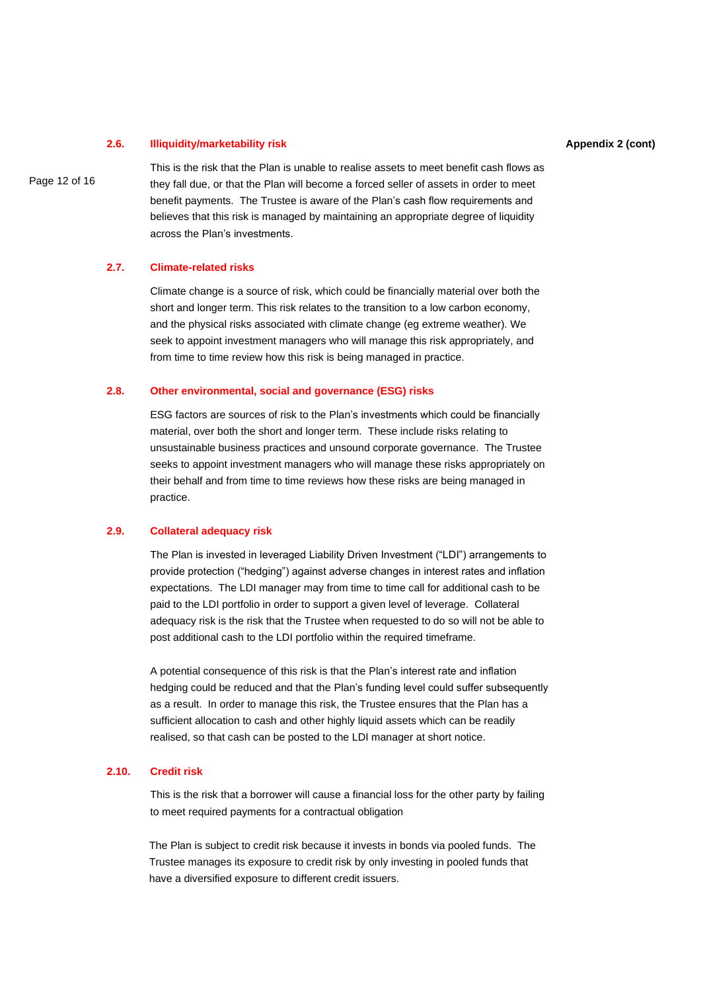#### **2.6. Illiquidity/marketability risk**

Page 12 of 16

This is the risk that the Plan is unable to realise assets to meet benefit cash flows as they fall due, or that the Plan will become a forced seller of assets in order to meet benefit payments. The Trustee is aware of the Plan's cash flow requirements and believes that this risk is managed by maintaining an appropriate degree of liquidity across the Plan's investments.

#### **2.7. Climate-related risks**

Climate change is a source of risk, which could be financially material over both the short and longer term. This risk relates to the transition to a low carbon economy, and the physical risks associated with climate change (eg extreme weather). We seek to appoint investment managers who will manage this risk appropriately, and from time to time review how this risk is being managed in practice.

#### **2.8. Other environmental, social and governance (ESG) risks**

ESG factors are sources of risk to the Plan's investments which could be financially material, over both the short and longer term. These include risks relating to unsustainable business practices and unsound corporate governance. The Trustee seeks to appoint investment managers who will manage these risks appropriately on their behalf and from time to time reviews how these risks are being managed in practice.

#### **2.9. Collateral adequacy risk**

The Plan is invested in leveraged Liability Driven Investment ("LDI") arrangements to provide protection ("hedging") against adverse changes in interest rates and inflation expectations. The LDI manager may from time to time call for additional cash to be paid to the LDI portfolio in order to support a given level of leverage. Collateral adequacy risk is the risk that the Trustee when requested to do so will not be able to post additional cash to the LDI portfolio within the required timeframe.

A potential consequence of this risk is that the Plan's interest rate and inflation hedging could be reduced and that the Plan's funding level could suffer subsequently as a result. In order to manage this risk, the Trustee ensures that the Plan has a sufficient allocation to cash and other highly liquid assets which can be readily realised, so that cash can be posted to the LDI manager at short notice.

### **2.10. Credit risk**

This is the risk that a borrower will cause a financial loss for the other party by failing to meet required payments for a contractual obligation

The Plan is subject to credit risk because it invests in bonds via pooled funds. The Trustee manages its exposure to credit risk by only investing in pooled funds that have a diversified exposure to different credit issuers.

#### **Appendix 2 (cont)**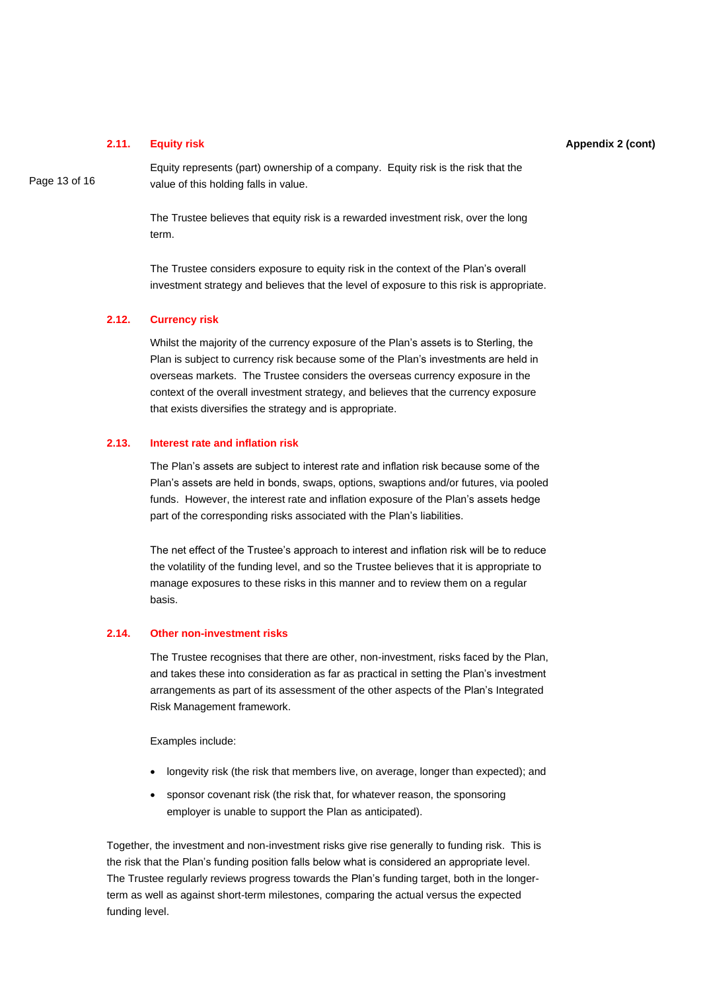#### **2.11. Equity risk**

Equity represents (part) ownership of a company. Equity risk is the risk that the value of this holding falls in value.

The Trustee believes that equity risk is a rewarded investment risk, over the long term.

The Trustee considers exposure to equity risk in the context of the Plan's overall investment strategy and believes that the level of exposure to this risk is appropriate.

# **2.12. Currency risk**

Whilst the majority of the currency exposure of the Plan's assets is to Sterling, the Plan is subject to currency risk because some of the Plan's investments are held in overseas markets. The Trustee considers the overseas currency exposure in the context of the overall investment strategy, and believes that the currency exposure that exists diversifies the strategy and is appropriate.

## **2.13. Interest rate and inflation risk**

The Plan's assets are subject to interest rate and inflation risk because some of the Plan's assets are held in bonds, swaps, options, swaptions and/or futures, via pooled funds. However, the interest rate and inflation exposure of the Plan's assets hedge part of the corresponding risks associated with the Plan's liabilities.

The net effect of the Trustee's approach to interest and inflation risk will be to reduce the volatility of the funding level, and so the Trustee believes that it is appropriate to manage exposures to these risks in this manner and to review them on a regular basis.

# **2.14. Other non-investment risks**

The Trustee recognises that there are other, non-investment, risks faced by the Plan, and takes these into consideration as far as practical in setting the Plan's investment arrangements as part of its assessment of the other aspects of the Plan's Integrated Risk Management framework.

Examples include:

- longevity risk (the risk that members live, on average, longer than expected); and
- sponsor covenant risk (the risk that, for whatever reason, the sponsoring employer is unable to support the Plan as anticipated).

Together, the investment and non-investment risks give rise generally to funding risk. This is the risk that the Plan's funding position falls below what is considered an appropriate level. The Trustee regularly reviews progress towards the Plan's funding target, both in the longerterm as well as against short-term milestones, comparing the actual versus the expected funding level.

#### **Appendix 2 (cont)**

Page 13 of 16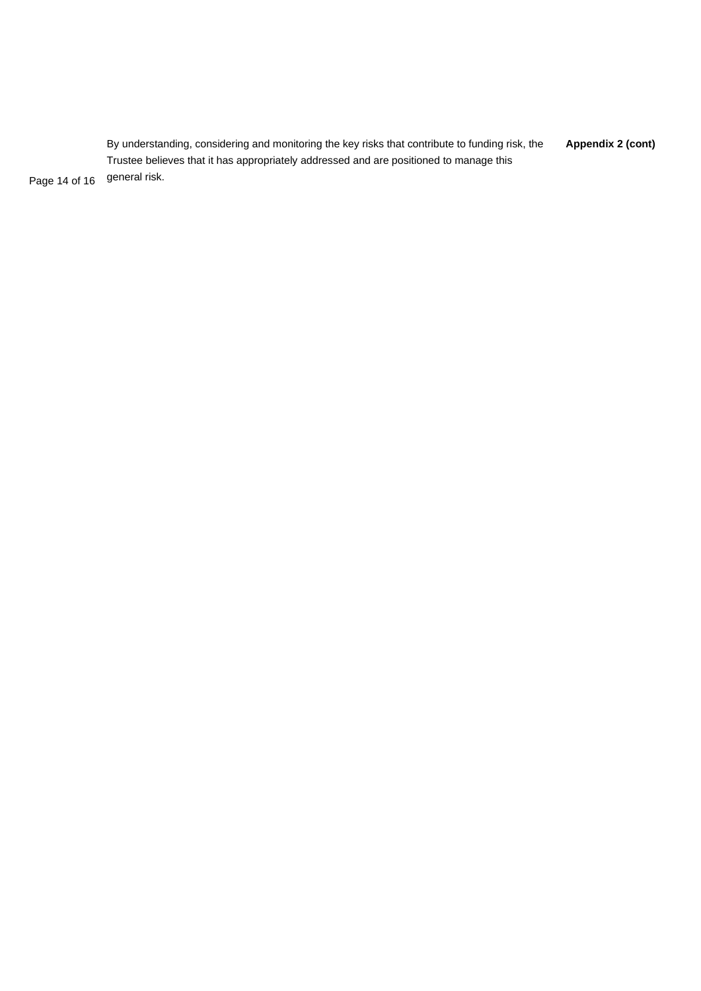**Appendix 2 (cont)** Page 14 of 16 By understanding, considering and monitoring the key risks that contribute to funding risk, the Trustee believes that it has appropriately addressed and are positioned to manage this general risk.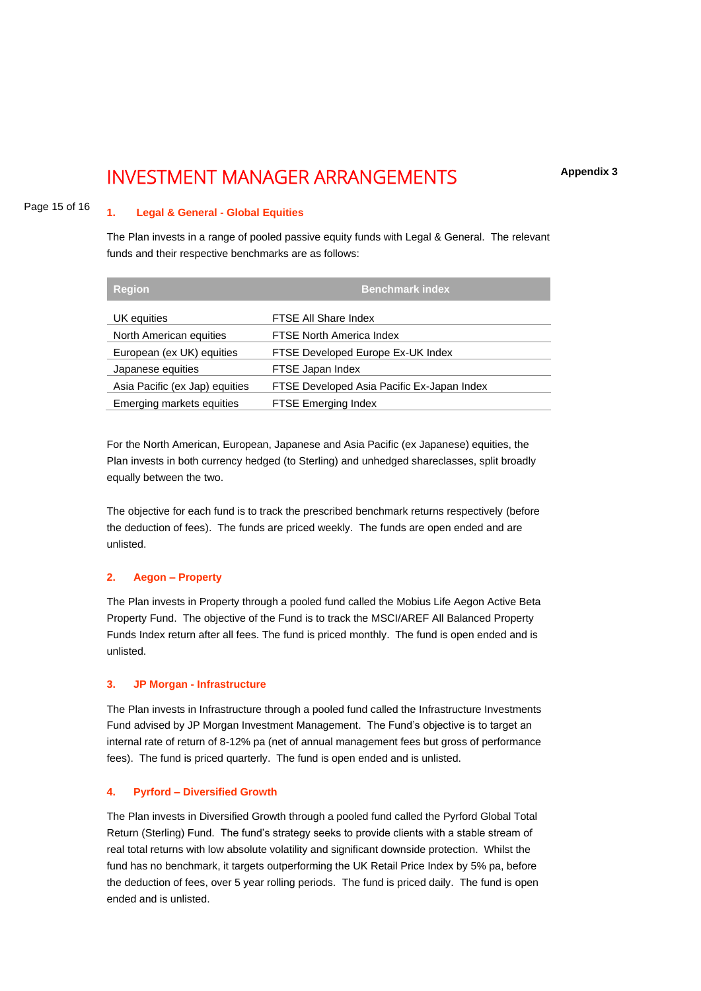# INVESTMENT MANAGER ARRANGEMENTS

**Appendix 3**

#### Page 15 of 16 **1. Legal & General - Global Equities**

The Plan invests in a range of pooled passive equity funds with Legal & General. The relevant funds and their respective benchmarks are as follows:

| <b>Region</b>                  | <b>Benchmark index</b>                     |
|--------------------------------|--------------------------------------------|
| UK equities                    | FTSE All Share Index                       |
| North American equities        | <b>FTSE North America Index</b>            |
| European (ex UK) equities      | FTSE Developed Europe Ex-UK Index          |
| Japanese equities              | FTSE Japan Index                           |
| Asia Pacific (ex Jap) equities | FTSE Developed Asia Pacific Ex-Japan Index |
| Emerging markets equities      | <b>FTSE Emerging Index</b>                 |

For the North American, European, Japanese and Asia Pacific (ex Japanese) equities, the Plan invests in both currency hedged (to Sterling) and unhedged shareclasses, split broadly equally between the two.

The objective for each fund is to track the prescribed benchmark returns respectively (before the deduction of fees). The funds are priced weekly. The funds are open ended and are unlisted.

#### **2. Aegon – Property**

The Plan invests in Property through a pooled fund called the Mobius Life Aegon Active Beta Property Fund. The objective of the Fund is to track the MSCI/AREF All Balanced Property Funds Index return after all fees. The fund is priced monthly. The fund is open ended and is unlisted.

#### **3. JP Morgan - Infrastructure**

The Plan invests in Infrastructure through a pooled fund called the Infrastructure Investments Fund advised by JP Morgan Investment Management. The Fund's objective is to target an internal rate of return of 8-12% pa (net of annual management fees but gross of performance fees). The fund is priced quarterly. The fund is open ended and is unlisted.

#### **4. Pyrford – Diversified Growth**

The Plan invests in Diversified Growth through a pooled fund called the Pyrford Global Total Return (Sterling) Fund. The fund's strategy seeks to provide clients with a stable stream of real total returns with low absolute volatility and significant downside protection. Whilst the fund has no benchmark, it targets outperforming the UK Retail Price Index by 5% pa, before the deduction of fees, over 5 year rolling periods. The fund is priced daily. The fund is open ended and is unlisted.